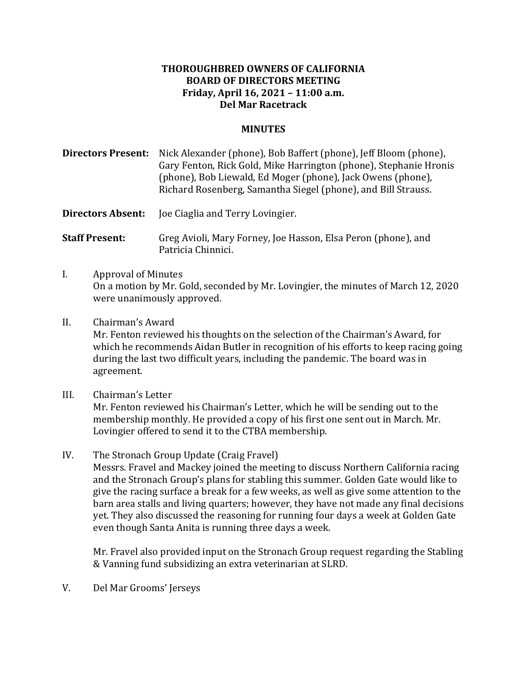## **THOROUGHBRED OWNERS OF CALIFORNIA BOARD OF DIRECTORS MEETING Friday, April 16, 2021 – 11:00 a.m. Del Mar Racetrack**

## **MINUTES**

**Directors Present:** Nick Alexander (phone), Bob Baffert (phone), Jeff Bloom (phone), Gary Fenton, Rick Gold, Mike Harrington (phone), Stephanie Hronis (phone), Bob Liewald, Ed Moger (phone), Jack Owens (phone), Richard Rosenberg, Samantha Siegel (phone), and Bill Strauss.

**Directors Absent:** Joe Ciaglia and Terry Lovingier.

**Staff Present:** Greg Avioli, Mary Forney, Joe Hasson, Elsa Peron (phone), and Patricia Chinnici.

- I. Approval of Minutes On a motion by Mr. Gold, seconded by Mr. Lovingier, the minutes of March 12, 2020 were unanimously approved.
- II. Chairman's Award Mr. Fenton reviewed his thoughts on the selection of the Chairman's Award, for which he recommends Aidan Butler in recognition of his efforts to keep racing going during the last two difficult years, including the pandemic. The board was in agreement.
- III. Chairman's Letter

Mr. Fenton reviewed his Chairman's Letter, which he will be sending out to the membership monthly. He provided a copy of his first one sent out in March. Mr. Lovingier offered to send it to the CTBA membership.

IV. The Stronach Group Update (Craig Fravel) Messrs. Fravel and Mackey joined the meeting to discuss Northern California racing and the Stronach Group's plans for stabling this summer. Golden Gate would like to give the racing surface a break for a few weeks, as well as give some attention to the barn area stalls and living quarters; however, they have not made any final decisions yet. They also discussed the reasoning for running four days a week at Golden Gate even though Santa Anita is running three days a week.

Mr. Fravel also provided input on the Stronach Group request regarding the Stabling & Vanning fund subsidizing an extra veterinarian at SLRD.

V. Del Mar Grooms' Jerseys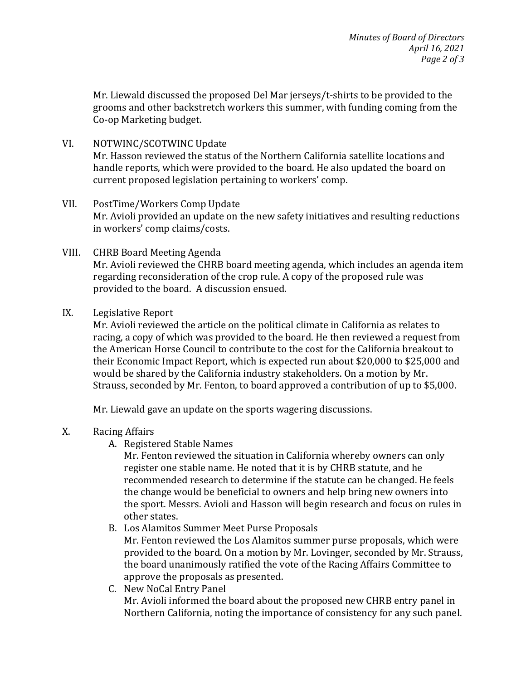Mr. Liewald discussed the proposed Del Mar jerseys/t-shirts to be provided to the grooms and other backstretch workers this summer, with funding coming from the Co-op Marketing budget.

VI. NOTWINC/SCOTWINC Update

Mr. Hasson reviewed the status of the Northern California satellite locations and handle reports, which were provided to the board. He also updated the board on current proposed legislation pertaining to workers' comp.

- VII. PostTime/Workers Comp Update Mr. Avioli provided an update on the new safety initiatives and resulting reductions in workers' comp claims/costs.
- VIII. CHRB Board Meeting Agenda Mr. Avioli reviewed the CHRB board meeting agenda, which includes an agenda item regarding reconsideration of the crop rule. A copy of the proposed rule was provided to the board. A discussion ensued.
- IX. Legislative Report

Mr. Avioli reviewed the article on the political climate in California as relates to racing, a copy of which was provided to the board. He then reviewed a request from the American Horse Council to contribute to the cost for the California breakout to their Economic Impact Report, which is expected run about \$20,000 to \$25,000 and would be shared by the California industry stakeholders. On a motion by Mr. Strauss, seconded by Mr. Fenton, to board approved a contribution of up to \$5,000.

Mr. Liewald gave an update on the sports wagering discussions.

- X. Racing Affairs
	- A. Registered Stable Names

Mr. Fenton reviewed the situation in California whereby owners can only register one stable name. He noted that it is by CHRB statute, and he recommended research to determine if the statute can be changed. He feels the change would be beneficial to owners and help bring new owners into the sport. Messrs. Avioli and Hasson will begin research and focus on rules in other states.

- B. Los Alamitos Summer Meet Purse Proposals Mr. Fenton reviewed the Los Alamitos summer purse proposals, which were provided to the board. On a motion by Mr. Lovinger, seconded by Mr. Strauss, the board unanimously ratified the vote of the Racing Affairs Committee to approve the proposals as presented.
- C. New NoCal Entry Panel Mr. Avioli informed the board about the proposed new CHRB entry panel in Northern California, noting the importance of consistency for any such panel.